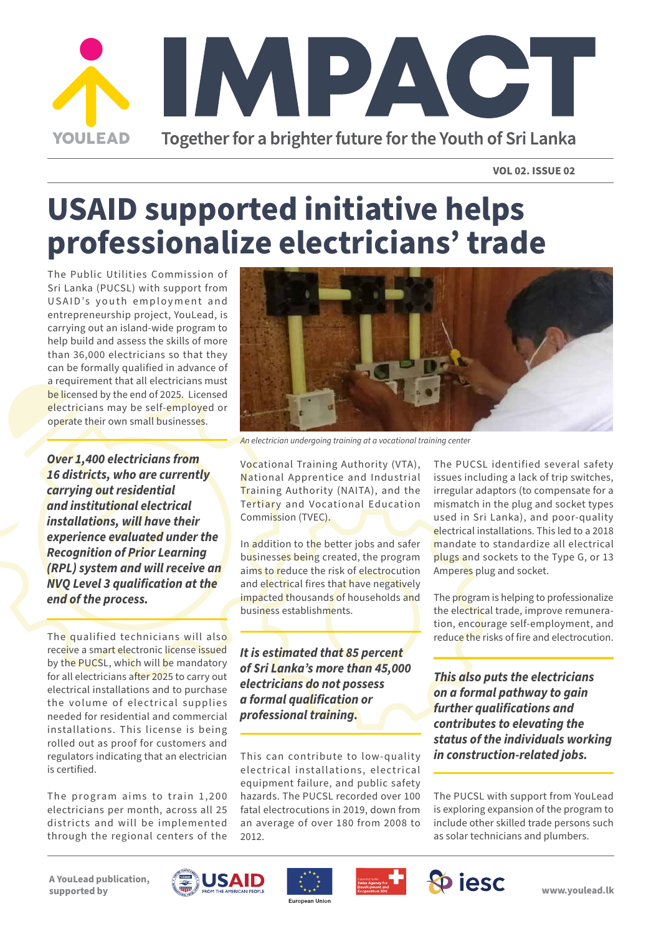

**VOL 02. ISSUE 02**

# **USAID supported initiative helps professionalize electricians' trade**

The Public Utilities Commission of Sri Lanka (PUCSL) with support from USAID's youth employment and entrepreneurship project, YouLead, is carrying out an island-wide program to help build and assess the skills of more than 36,000 electricians so that they can be formally qualified in advance of a requirement that all electricians must be licensed by the end of 2025. Licensed electricians may be self-employed or operate their own small businesses.

*Over 1,400 electricians from 16 districts, who are currently carrying out residential and institutional electrical installations, will have their experience evaluated under the Recognition of Prior Learning (RPL) system and will receive an NVQ Level 3 qualification at the end of the process.*

The qualified technicians will also receive a smart electronic license issued by the PUCSL, which will be mandatory for all electricians after 2025 to carry out electrical installations and to purchase the volume of electrical supplies needed for residential and commercial installations. This license is being rolled out as proof for customers and regulators indicating that an electrician is certified.

The program aims to train  $1,200$ electricians per month, across all 25 districts and will be implemented through the regional centers of the



*An electrician undergoing training at a vocational training center*

Vocational Training Authority (VTA), National Apprentice and Industrial Training Authority (NAITA), and the Tertiary and Vocational Education Commission (TVEC).

In addition to the better jobs and safer businesses being created, the program aims to reduce the risk of electrocution and electrical fires that have negatively impacted thousands of households and business establishments.

*It is estimated that 85 percent of Sri Lanka's more than 45,000 electricians do not possess a formal qualification or professional training.* 

This can contribute to low-quality electrical installations, electrical equipment failure, and public safety hazards. The PUCSL recorded over 100 fatal electrocutions in 2019, down from an average of over 180 from 2008 to 2012.

The PUCSL identified several safety issues including a lack of trip switches, irregular adaptors (to compensate for a mismatch in the plug and socket types used in Sri Lanka), and poor-quality electrical installations. This led to a 2018 mandate to standardize all electrical plugs and sockets to the Type G, or 13 Amperes plug and socket.

The program is helping to professionalize the electrical trade, improve remuneration, encourage self-employment, and reduce the risks of fire and electrocution.

*This also puts the electricians on a formal pathway to gain further qualifications and contributes to elevating the status of the individuals working in construction-related jobs.* 

The PUCSL with support from YouLead is exploring expansion of the program to include other skilled trade persons such as solar technicians and plumbers.

**A YouLead publication, supported by**







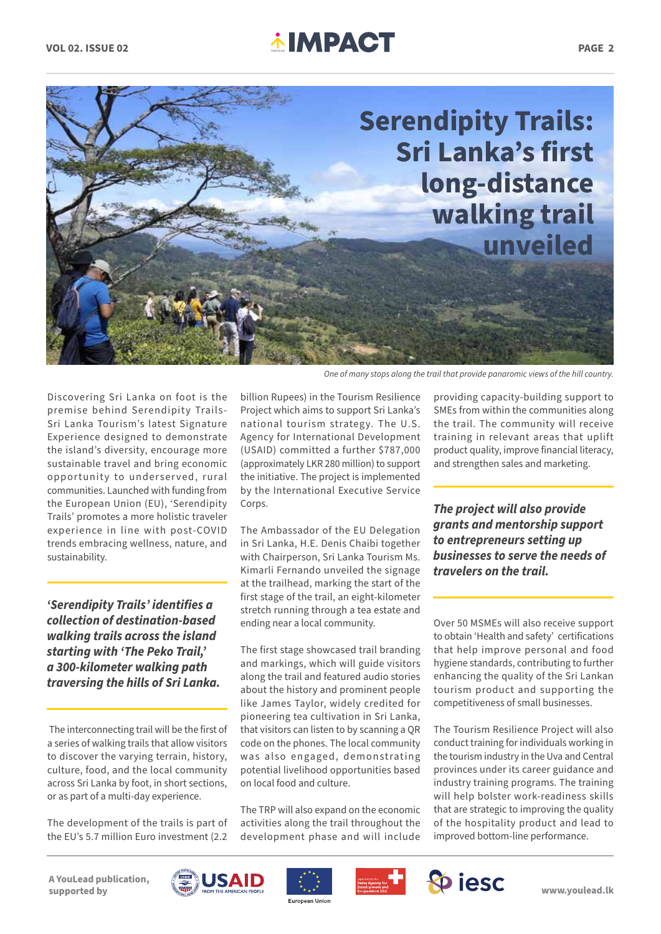### **VOL 02. ISSUE 02 PAGE 2 CONSUMER 2 PAGE 2 PAGE 2**



Discovering Sri Lanka on foot is the premise behind Serendipity Trails-Sri Lanka Tourism's latest Signature Experience designed to demonstrate the island's diversity, encourage more sustainable travel and bring economic opportunity to underserved, rural communities. Launched with funding from the European Union (EU), 'Serendipity Trails' promotes a more holistic traveler experience in line with post-COVID trends embracing wellness, nature, and sustainability.

*'Serendipity Trails' identifies a collection of destination-based walking trails across the island starting with 'The Peko Trail,' a 300-kilometer walking path traversing the hills of Sri Lanka.*

 The interconnecting trail will be the first of a series of walking trails that allow visitors to discover the varying terrain, history, culture, food, and the local community across Sri Lanka by foot, in short sections, or as part of a multi-day experience.

The development of the trails is part of the EU's 5.7 million Euro investment (2.2

billion Rupees) in the Tourism Resilience Project which aims to support Sri Lanka's national tourism strategy. The U.S. Agency for International Development (USAID) committed a further \$787,000 (approximately LKR 280 million) to support the initiative. The project is implemented by the International Executive Service Corps.

The Ambassador of the EU Delegation in Sri Lanka, H.E. Denis Chaibi together with Chairperson, Sri Lanka Tourism Ms. Kimarli Fernando unveiled the signage at the trailhead, marking the start of the first stage of the trail, an eight-kilometer stretch running through a tea estate and ending near a local community.

The first stage showcased trail branding and markings, which will guide visitors along the trail and featured audio stories about the history and prominent people like James Taylor, widely credited for pioneering tea cultivation in Sri Lanka, that visitors can listen to by scanning a QR code on the phones. The local community was also engaged, demonstrating potential livelihood opportunities based on local food and culture.

The TRP will also expand on the economic activities along the trail throughout the development phase and will include providing capacity-building support to SMEs from within the communities along the trail. The community will receive training in relevant areas that uplift product quality, improve financial literacy, and strengthen sales and marketing.

*The project will also provide grants and mentorship support to entrepreneurs setting up businesses to serve the needs of travelers on the trail.*

Over 50 MSMEs will also receive support to obtain 'Health and safety' certifications that help improve personal and food hygiene standards, contributing to further enhancing the quality of the Sri Lankan tourism product and supporting the competitiveness of small businesses.

The Tourism Resilience Project will also conduct training for individuals working in the tourism industry in the Uva and Central provinces under its career guidance and industry training programs. The training will help bolster work-readiness skills that are strategic to improving the quality of the hospitality product and lead to improved bottom-line performance.

**A YouLead publication, supported by**







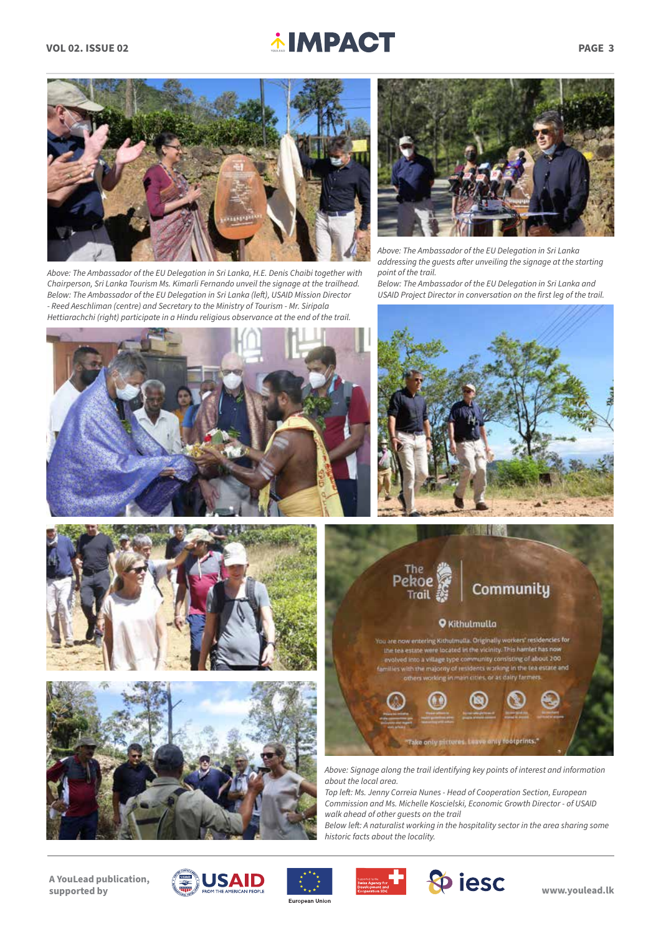## **VOL 02. ISSUE 02 PAGE 3**



*Above: The Ambassador of the EU Delegation in Sri Lanka, H.E. Denis Chaibi together with Chairperson, Sri Lanka Tourism Ms. Kimarli Fernando unveil the signage at the trailhead. Below: The Ambassador of the EU Delegation in Sri Lanka (left), USAID Mission Director - Reed Aeschliman (centre) and Secretary to the Ministry of Tourism - Mr. Siripala Hettiarachchi (right) participate in a Hindu religious observance at the end of the trail.* 



*Above: The Ambassador of the EU Delegation in Sri Lanka addressing the guests after unveiling the signage at the starting point of the trail.*

*Below: The Ambassador of the EU Delegation in Sri Lanka and USAID Project Director in conversation on the first leg of the trail.* 











*Top left: Ms. Jenny Correia Nunes - Head of Cooperation Section, European Commission and Ms. Michelle Koscielski, Economic Growth Director - of USAID walk ahead of other guests on the trail* 

*Below left: A naturalist working in the hospitality sector in the area sharing some historic facts about the locality.* 

**A YouLead publication, supported by**









**www.youlead.lk**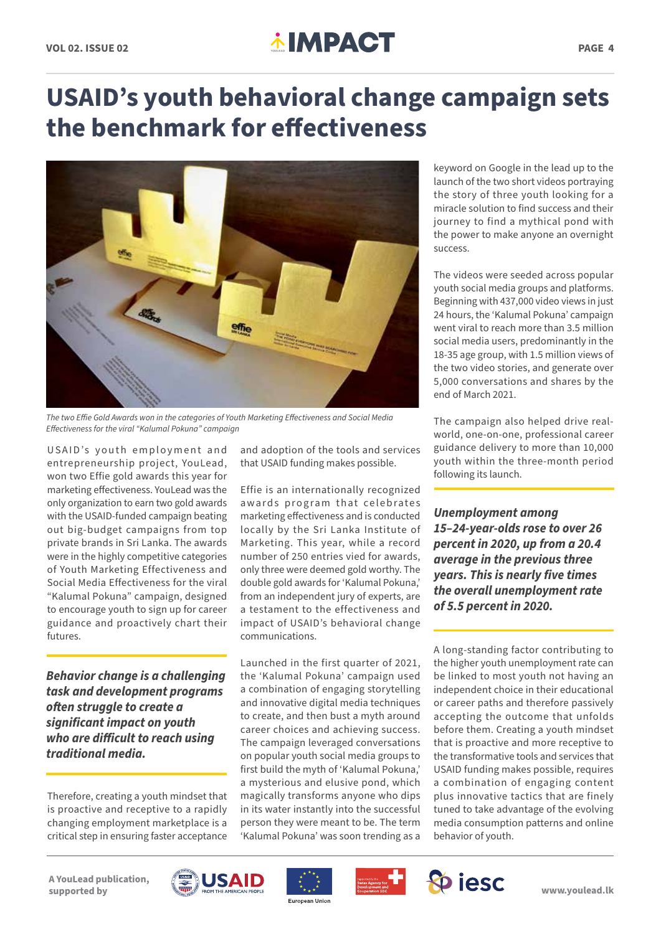### **VOL 02. ISSUE 02 PAGE 4 PACT**

### **USAID's youth behavioral change campaign sets the benchmark for effectiveness**



*The two Effie Gold Awards won in the categories of Youth Marketing Effectiveness and Social Media Effectiveness for the viral "Kalumal Pokuna" campaign*

USAID's youth employment and entrepreneurship project, YouLead, won two Effie gold awards this year for marketing effectiveness. YouLead was the only organization to earn two gold awards with the USAID-funded campaign beating out big-budget campaigns from top private brands in Sri Lanka. The awards were in the highly competitive categories of Youth Marketing Effectiveness and Social Media Effectiveness for the viral "Kalumal Pokuna" campaign, designed to encourage youth to sign up for career guidance and proactively chart their futures.

*Behavior change is a challenging task and development programs often struggle to create a significant impact on youth who are difficult to reach using traditional media.* 

Therefore, creating a youth mindset that is proactive and receptive to a rapidly changing employment marketplace is a critical step in ensuring faster acceptance

and adoption of the tools and services that USAID funding makes possible.

Effie is an internationally recognized awards program that celebrates marketing effectiveness and is conducted locally by the Sri Lanka Institute of Marketing. This year, while a record number of 250 entries vied for awards, only three were deemed gold worthy. The double gold awards for 'Kalumal Pokuna,' from an independent jury of experts, are a testament to the effectiveness and impact of USAID's behavioral change communications.

Launched in the first quarter of 2021, the 'Kalumal Pokuna' campaign used a combination of engaging storytelling and innovative digital media techniques to create, and then bust a myth around career choices and achieving success. The campaign leveraged conversations on popular youth social media groups to first build the myth of 'Kalumal Pokuna,' a mysterious and elusive pond, which magically transforms anyone who dips in its water instantly into the successful person they were meant to be. The term 'Kalumal Pokuna' was soon trending as a

keyword on Google in the lead up to the launch of the two short videos portraying the story of three youth looking for a miracle solution to find success and their journey to find a mythical pond with the power to make anyone an overnight success.

The videos were seeded across popular youth social media groups and platforms. Beginning with 437,000 video views in just 24 hours, the 'Kalumal Pokuna' campaign went viral to reach more than 3.5 million social media users, predominantly in the 18-35 age group, with 1.5 million views of the two video stories, and generate over 5,000 conversations and shares by the end of March 2021.

The campaign also helped drive realworld, one-on-one, professional career guidance delivery to more than 10,000 youth within the three-month period following its launch.

*Unemployment among 15–24-year-olds rose to over 26 percent in 2020, up from a 20.4 average in the previous three years. This is nearly five times the overall unemployment rate of 5.5 percent in 2020.* 

A long-standing factor contributing to the higher youth unemployment rate can be linked to most youth not having an independent choice in their educational or career paths and therefore passively accepting the outcome that unfolds before them. Creating a youth mindset that is proactive and more receptive to the transformative tools and services that USAID funding makes possible, requires a combination of engaging content plus innovative tactics that are finely tuned to take advantage of the evolving media consumption patterns and online behavior of youth.

**A YouLead publication, supported by**